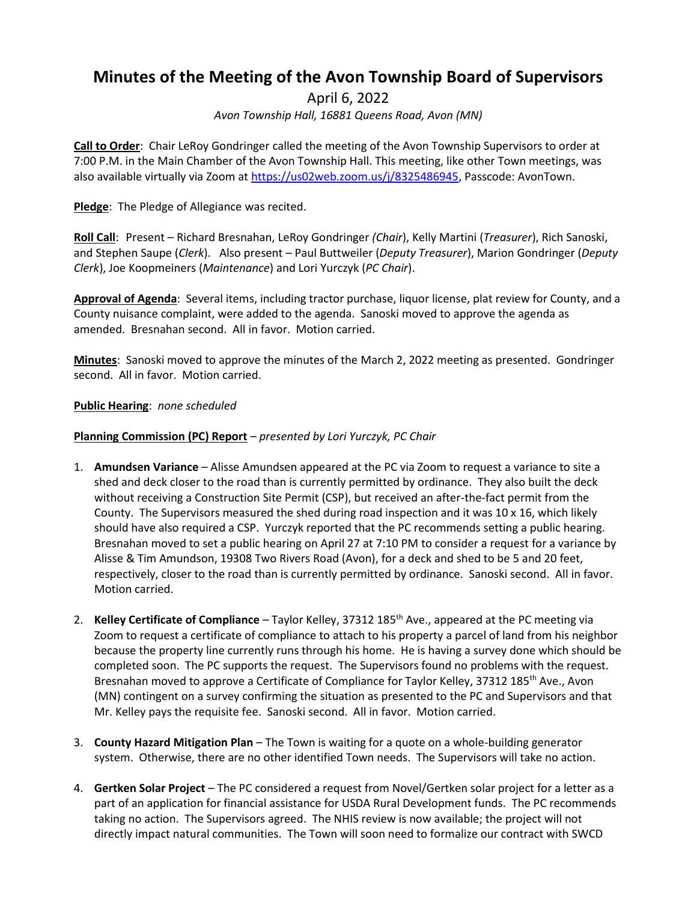# **Minutes of the Meeting of the Avon Township Board of Supervisors**

April 6, 2022

*Avon Township Hall, 16881 Queens Road, Avon (MN)*

**Call to Order**: Chair LeRoy Gondringer called the meeting of the Avon Township Supervisors to order at 7:00 P.M. in the Main Chamber of the Avon Township Hall. This meeting, like other Town meetings, was also available virtually via Zoom a[t https://us02web.zoom.us/j/8325486945,](https://us02web.zoom.us/j/8325486945) Passcode: AvonTown.

**Pledge**: The Pledge of Allegiance was recited.

**Roll Call**: Present – Richard Bresnahan, LeRoy Gondringer *(Chair*), Kelly Martini (*Treasurer*), Rich Sanoski, and Stephen Saupe (*Clerk*). Also present – Paul Buttweiler (*Deputy Treasurer*), Marion Gondringer (*Deputy Clerk*), Joe Koopmeiners (*Maintenance*) and Lori Yurczyk (*PC Chair*).

**Approval of Agenda**: Several items, including tractor purchase, liquor license, plat review for County, and a County nuisance complaint, were added to the agenda. Sanoski moved to approve the agenda as amended. Bresnahan second. All in favor. Motion carried.

**Minutes**: Sanoski moved to approve the minutes of the March 2, 2022 meeting as presented. Gondringer second. All in favor. Motion carried.

### **Public Hearing**: *none scheduled*

### **Planning Commission (PC) Report** *– presented by Lori Yurczyk, PC Chair*

- 1. **Amundsen Variance** Alisse Amundsen appeared at the PC via Zoom to request a variance to site a shed and deck closer to the road than is currently permitted by ordinance. They also built the deck without receiving a Construction Site Permit (CSP), but received an after-the-fact permit from the County. The Supervisors measured the shed during road inspection and it was 10 x 16, which likely should have also required a CSP. Yurczyk reported that the PC recommends setting a public hearing. Bresnahan moved to set a public hearing on April 27 at 7:10 PM to consider a request for a variance by Alisse & Tim Amundson, 19308 Two Rivers Road (Avon), for a deck and shed to be 5 and 20 feet, respectively, closer to the road than is currently permitted by ordinance. Sanoski second. All in favor. Motion carried.
- 2. **Kelley Certificate of Compliance** Taylor Kelley, 37312 185th Ave., appeared at the PC meeting via Zoom to request a certificate of compliance to attach to his property a parcel of land from his neighbor because the property line currently runs through his home. He is having a survey done which should be completed soon. The PC supports the request. The Supervisors found no problems with the request. Bresnahan moved to approve a Certificate of Compliance for Taylor Kelley, 37312 185<sup>th</sup> Ave., Avon (MN) contingent on a survey confirming the situation as presented to the PC and Supervisors and that Mr. Kelley pays the requisite fee. Sanoski second. All in favor. Motion carried.
- 3. **County Hazard Mitigation Plan** The Town is waiting for a quote on a whole-building generator system. Otherwise, there are no other identified Town needs. The Supervisors will take no action.
- 4. **Gertken Solar Project** The PC considered a request from Novel/Gertken solar project for a letter as a part of an application for financial assistance for USDA Rural Development funds. The PC recommends taking no action. The Supervisors agreed. The NHIS review is now available; the project will not directly impact natural communities. The Town will soon need to formalize our contract with SWCD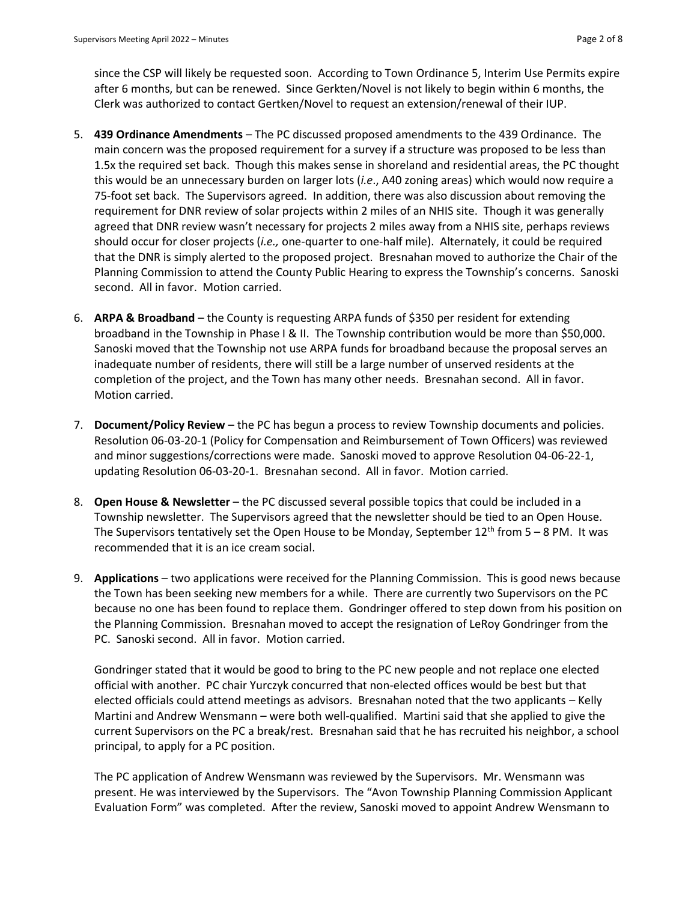since the CSP will likely be requested soon. According to Town Ordinance 5, Interim Use Permits expire after 6 months, but can be renewed. Since Gerkten/Novel is not likely to begin within 6 months, the Clerk was authorized to contact Gertken/Novel to request an extension/renewal of their IUP.

- 5. **439 Ordinance Amendments**  The PC discussed proposed amendments to the 439 Ordinance. The main concern was the proposed requirement for a survey if a structure was proposed to be less than 1.5x the required set back. Though this makes sense in shoreland and residential areas, the PC thought this would be an unnecessary burden on larger lots (*i.e*., A40 zoning areas) which would now require a 75-foot set back. The Supervisors agreed. In addition, there was also discussion about removing the requirement for DNR review of solar projects within 2 miles of an NHIS site. Though it was generally agreed that DNR review wasn't necessary for projects 2 miles away from a NHIS site, perhaps reviews should occur for closer projects (*i.e.,* one-quarter to one-half mile). Alternately, it could be required that the DNR is simply alerted to the proposed project. Bresnahan moved to authorize the Chair of the Planning Commission to attend the County Public Hearing to express the Township's concerns. Sanoski second. All in favor. Motion carried.
- 6. **ARPA & Broadband** the County is requesting ARPA funds of \$350 per resident for extending broadband in the Township in Phase I & II. The Township contribution would be more than \$50,000. Sanoski moved that the Township not use ARPA funds for broadband because the proposal serves an inadequate number of residents, there will still be a large number of unserved residents at the completion of the project, and the Town has many other needs. Bresnahan second. All in favor. Motion carried.
- 7. **Document/Policy Review** the PC has begun a process to review Township documents and policies. Resolution 06-03-20-1 (Policy for Compensation and Reimbursement of Town Officers) was reviewed and minor suggestions/corrections were made. Sanoski moved to approve Resolution 04-06-22-1, updating Resolution 06-03-20-1. Bresnahan second. All in favor. Motion carried.
- 8. **Open House & Newsletter** the PC discussed several possible topics that could be included in a Township newsletter. The Supervisors agreed that the newsletter should be tied to an Open House. The Supervisors tentatively set the Open House to be Monday, September  $12^{th}$  from 5 – 8 PM. It was recommended that it is an ice cream social.
- 9. **Applications** two applications were received for the Planning Commission. This is good news because the Town has been seeking new members for a while. There are currently two Supervisors on the PC because no one has been found to replace them. Gondringer offered to step down from his position on the Planning Commission. Bresnahan moved to accept the resignation of LeRoy Gondringer from the PC. Sanoski second. All in favor. Motion carried.

Gondringer stated that it would be good to bring to the PC new people and not replace one elected official with another. PC chair Yurczyk concurred that non-elected offices would be best but that elected officials could attend meetings as advisors. Bresnahan noted that the two applicants – Kelly Martini and Andrew Wensmann – were both well-qualified. Martini said that she applied to give the current Supervisors on the PC a break/rest. Bresnahan said that he has recruited his neighbor, a school principal, to apply for a PC position.

The PC application of Andrew Wensmann was reviewed by the Supervisors. Mr. Wensmann was present. He was interviewed by the Supervisors. The "Avon Township Planning Commission Applicant Evaluation Form" was completed. After the review, Sanoski moved to appoint Andrew Wensmann to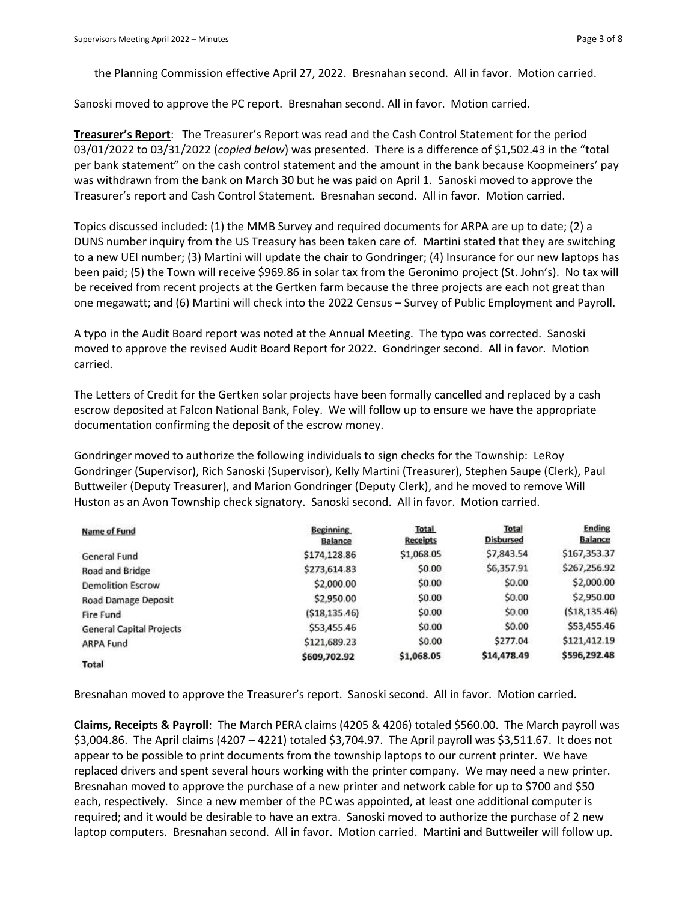the Planning Commission effective April 27, 2022. Bresnahan second. All in favor. Motion carried.

Sanoski moved to approve the PC report. Bresnahan second. All in favor. Motion carried.

**Treasurer's Report**: The Treasurer's Report was read and the Cash Control Statement for the period 03/01/2022 to 03/31/2022 (*copied below*) was presented. There is a difference of \$1,502.43 in the "total per bank statement" on the cash control statement and the amount in the bank because Koopmeiners' pay was withdrawn from the bank on March 30 but he was paid on April 1. Sanoski moved to approve the Treasurer's report and Cash Control Statement. Bresnahan second. All in favor. Motion carried.

Topics discussed included: (1) the MMB Survey and required documents for ARPA are up to date; (2) a DUNS number inquiry from the US Treasury has been taken care of. Martini stated that they are switching to a new UEI number; (3) Martini will update the chair to Gondringer; (4) Insurance for our new laptops has been paid; (5) the Town will receive \$969.86 in solar tax from the Geronimo project (St. John's). No tax will be received from recent projects at the Gertken farm because the three projects are each not great than one megawatt; and (6) Martini will check into the 2022 Census – Survey of Public Employment and Payroll.

A typo in the Audit Board report was noted at the Annual Meeting. The typo was corrected. Sanoski moved to approve the revised Audit Board Report for 2022. Gondringer second. All in favor. Motion carried.

The Letters of Credit for the Gertken solar projects have been formally cancelled and replaced by a cash escrow deposited at Falcon National Bank, Foley. We will follow up to ensure we have the appropriate documentation confirming the deposit of the escrow money.

Gondringer moved to authorize the following individuals to sign checks for the Township: LeRoy Gondringer (Supervisor), Rich Sanoski (Supervisor), Kelly Martini (Treasurer), Stephen Saupe (Clerk), Paul Buttweiler (Deputy Treasurer), and Marion Gondringer (Deputy Clerk), and he moved to remove Will Huston as an Avon Township check signatory. Sanoski second. All in favor. Motion carried.

| Name of Fund                    | <b>Beginning</b><br><b>Balance</b> | <b>Total</b><br><b>Receipts</b> | <b>Total</b><br><b>Disbursed</b> | <b>Ending</b><br><b>Balance</b> |
|---------------------------------|------------------------------------|---------------------------------|----------------------------------|---------------------------------|
| <b>General Fund</b>             | \$174,128.86                       | \$1,068.05                      | \$7,843.54                       | \$167,353.37                    |
| Road and Bridge                 | \$273,614.83                       | \$0.00                          | \$6,357.91                       | \$267,256.92                    |
| <b>Demolition Escrow</b>        | \$2,000.00                         | \$0.00                          | \$0.00                           | \$2,000.00                      |
| Road Damage Deposit             | \$2,950.00                         | \$0.00                          | \$0.00                           | \$2,950.00                      |
| Fire Fund                       | (518, 135, 46)                     | \$0.00                          | \$0.00                           | (518, 135.46)                   |
| <b>General Capital Projects</b> | \$53,455.46                        | \$0.00                          | \$0.00                           | \$53,455.46                     |
| ARPA Fund                       | \$121,689.23                       | \$0.00                          | \$277.04                         | \$121,412.19                    |
| Total                           | \$609,702.92                       | \$1,068.05                      | \$14,478.49                      | \$596,292.48                    |

Bresnahan moved to approve the Treasurer's report. Sanoski second. All in favor. Motion carried.

**Claims, Receipts & Payroll**: The March PERA claims (4205 & 4206) totaled \$560.00. The March payroll was \$3,004.86. The April claims (4207 – 4221) totaled \$3,704.97. The April payroll was \$3,511.67. It does not appear to be possible to print documents from the township laptops to our current printer. We have replaced drivers and spent several hours working with the printer company. We may need a new printer. Bresnahan moved to approve the purchase of a new printer and network cable for up to \$700 and \$50 each, respectively. Since a new member of the PC was appointed, at least one additional computer is required; and it would be desirable to have an extra. Sanoski moved to authorize the purchase of 2 new laptop computers. Bresnahan second. All in favor. Motion carried. Martini and Buttweiler will follow up.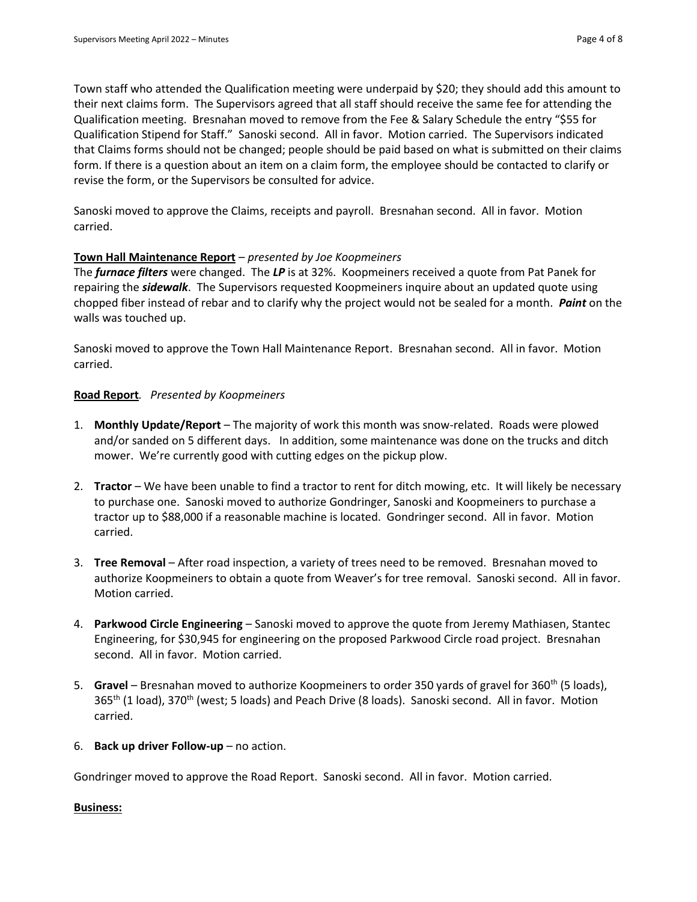Town staff who attended the Qualification meeting were underpaid by \$20; they should add this amount to their next claims form. The Supervisors agreed that all staff should receive the same fee for attending the Qualification meeting. Bresnahan moved to remove from the Fee & Salary Schedule the entry "\$55 for Qualification Stipend for Staff." Sanoski second. All in favor. Motion carried. The Supervisors indicated that Claims forms should not be changed; people should be paid based on what is submitted on their claims form. If there is a question about an item on a claim form, the employee should be contacted to clarify or revise the form, or the Supervisors be consulted for advice.

Sanoski moved to approve the Claims, receipts and payroll. Bresnahan second. All in favor. Motion carried.

#### **Town Hall Maintenance Report** – *presented by Joe Koopmeiners*

The *furnace filters* were changed. The *LP* is at 32%. Koopmeiners received a quote from Pat Panek for repairing the *sidewalk*. The Supervisors requested Koopmeiners inquire about an updated quote using chopped fiber instead of rebar and to clarify why the project would not be sealed for a month. *Paint* on the walls was touched up.

Sanoski moved to approve the Town Hall Maintenance Report. Bresnahan second. All in favor. Motion carried.

#### **Road Report***. Presented by Koopmeiners*

- 1. **Monthly Update/Report** The majority of work this month was snow-related. Roads were plowed and/or sanded on 5 different days. In addition, some maintenance was done on the trucks and ditch mower. We're currently good with cutting edges on the pickup plow.
- 2. **Tractor** We have been unable to find a tractor to rent for ditch mowing, etc. It will likely be necessary to purchase one. Sanoski moved to authorize Gondringer, Sanoski and Koopmeiners to purchase a tractor up to \$88,000 if a reasonable machine is located. Gondringer second. All in favor. Motion carried.
- 3. **Tree Removal** After road inspection, a variety of trees need to be removed. Bresnahan moved to authorize Koopmeiners to obtain a quote from Weaver's for tree removal. Sanoski second. All in favor. Motion carried.
- 4. **Parkwood Circle Engineering**  Sanoski moved to approve the quote from Jeremy Mathiasen, Stantec Engineering, for \$30,945 for engineering on the proposed Parkwood Circle road project. Bresnahan second. All in favor. Motion carried.
- 5. **Gravel** Bresnahan moved to authorize Koopmeiners to order 350 yards of gravel for 360<sup>th</sup> (5 loads), 365<sup>th</sup> (1 load), 370<sup>th</sup> (west; 5 loads) and Peach Drive (8 loads). Sanoski second. All in favor. Motion carried.
- 6. **Back up driver Follow-up** no action.

Gondringer moved to approve the Road Report. Sanoski second. All in favor. Motion carried.

#### **Business:**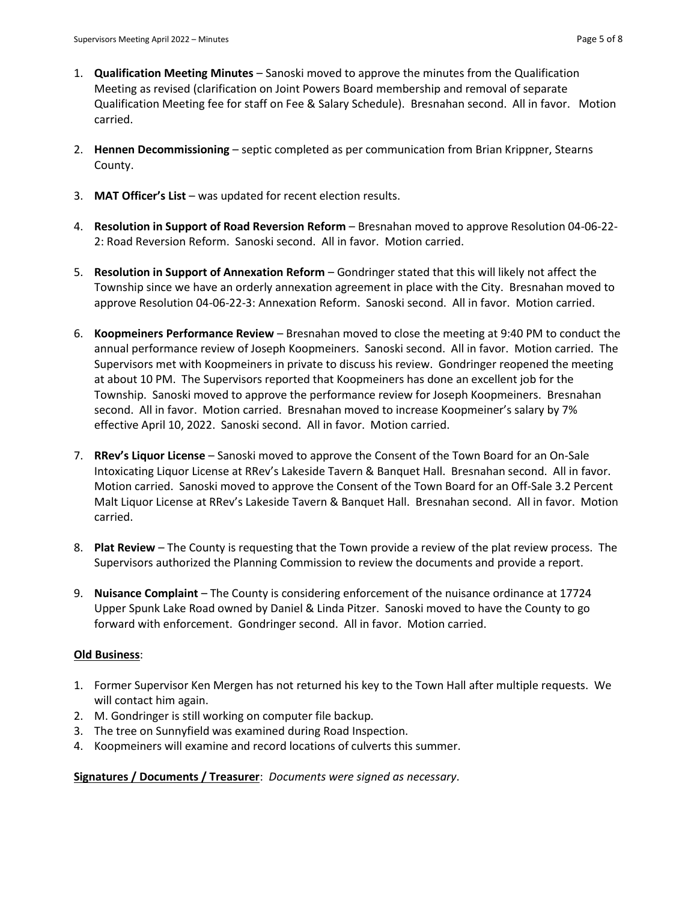- 1. **Qualification Meeting Minutes** Sanoski moved to approve the minutes from the Qualification Meeting as revised (clarification on Joint Powers Board membership and removal of separate Qualification Meeting fee for staff on Fee & Salary Schedule). Bresnahan second. All in favor. Motion carried.
- 2. **Hennen Decommissioning** septic completed as per communication from Brian Krippner, Stearns County.
- 3. **MAT Officer's List**  was updated for recent election results.
- 4. **Resolution in Support of Road Reversion Reform** Bresnahan moved to approve Resolution 04-06-22- 2: Road Reversion Reform. Sanoski second. All in favor. Motion carried.
- 5. **Resolution in Support of Annexation Reform** Gondringer stated that this will likely not affect the Township since we have an orderly annexation agreement in place with the City. Bresnahan moved to approve Resolution 04-06-22-3: Annexation Reform. Sanoski second. All in favor. Motion carried.
- 6. **Koopmeiners Performance Review**  Bresnahan moved to close the meeting at 9:40 PM to conduct the annual performance review of Joseph Koopmeiners. Sanoski second. All in favor. Motion carried. The Supervisors met with Koopmeiners in private to discuss his review. Gondringer reopened the meeting at about 10 PM. The Supervisors reported that Koopmeiners has done an excellent job for the Township. Sanoski moved to approve the performance review for Joseph Koopmeiners. Bresnahan second. All in favor. Motion carried. Bresnahan moved to increase Koopmeiner's salary by 7% effective April 10, 2022. Sanoski second. All in favor. Motion carried.
- 7. **RRev's Liquor License**  Sanoski moved to approve the Consent of the Town Board for an On-Sale Intoxicating Liquor License at RRev's Lakeside Tavern & Banquet Hall. Bresnahan second. All in favor. Motion carried. Sanoski moved to approve the Consent of the Town Board for an Off-Sale 3.2 Percent Malt Liquor License at RRev's Lakeside Tavern & Banquet Hall. Bresnahan second. All in favor. Motion carried.
- 8. **Plat Review**  The County is requesting that the Town provide a review of the plat review process. The Supervisors authorized the Planning Commission to review the documents and provide a report.
- 9. **Nuisance Complaint**  The County is considering enforcement of the nuisance ordinance at 17724 Upper Spunk Lake Road owned by Daniel & Linda Pitzer. Sanoski moved to have the County to go forward with enforcement. Gondringer second. All in favor. Motion carried.

# **Old Business**:

- 1. Former Supervisor Ken Mergen has not returned his key to the Town Hall after multiple requests. We will contact him again.
- 2. M. Gondringer is still working on computer file backup.
- 3. The tree on Sunnyfield was examined during Road Inspection.
- 4. Koopmeiners will examine and record locations of culverts this summer.

**Signatures / Documents / Treasurer**: *Documents were signed as necessary*.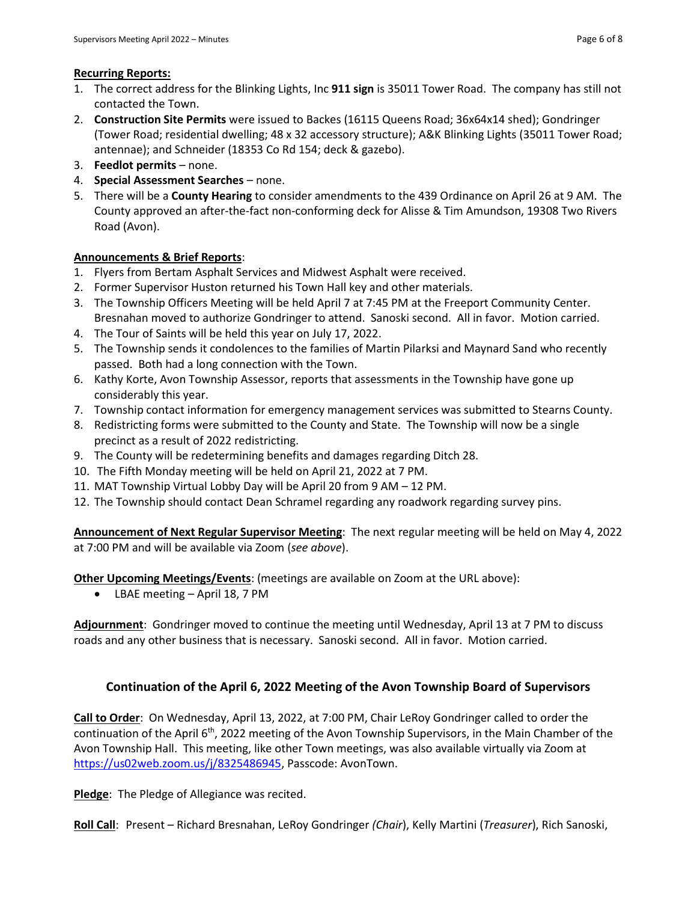- 1. The correct address for the Blinking Lights, Inc **911 sign** is 35011 Tower Road. The company has still not contacted the Town.
- 2. **Construction Site Permits** were issued to Backes (16115 Queens Road; 36x64x14 shed); Gondringer (Tower Road; residential dwelling; 48 x 32 accessory structure); A&K Blinking Lights (35011 Tower Road; antennae); and Schneider (18353 Co Rd 154; deck & gazebo).
- 3. **Feedlot permits**  none.
- 4. **Special Assessment Searches** none.
- 5. There will be a **County Hearing** to consider amendments to the 439 Ordinance on April 26 at 9 AM. The County approved an after-the-fact non-conforming deck for Alisse & Tim Amundson, 19308 Two Rivers Road (Avon).

## **Announcements & Brief Reports**:

- 1. Flyers from Bertam Asphalt Services and Midwest Asphalt were received.
- 2. Former Supervisor Huston returned his Town Hall key and other materials.
- 3. The Township Officers Meeting will be held April 7 at 7:45 PM at the Freeport Community Center. Bresnahan moved to authorize Gondringer to attend. Sanoski second. All in favor. Motion carried.
- 4. The Tour of Saints will be held this year on July 17, 2022.
- 5. The Township sends it condolences to the families of Martin Pilarksi and Maynard Sand who recently passed. Both had a long connection with the Town.
- 6. Kathy Korte, Avon Township Assessor, reports that assessments in the Township have gone up considerably this year.
- 7. Township contact information for emergency management services was submitted to Stearns County.
- 8. Redistricting forms were submitted to the County and State. The Township will now be a single precinct as a result of 2022 redistricting.
- 9. The County will be redetermining benefits and damages regarding Ditch 28.
- 10. The Fifth Monday meeting will be held on April 21, 2022 at 7 PM.
- 11. MAT Township Virtual Lobby Day will be April 20 from 9 AM 12 PM.
- 12. The Township should contact Dean Schramel regarding any roadwork regarding survey pins.

**Announcement of Next Regular Supervisor Meeting**: The next regular meeting will be held on May 4, 2022 at 7:00 PM and will be available via Zoom (*see above*).

**Other Upcoming Meetings/Events**: (meetings are available on Zoom at the URL above):

• LBAE meeting – April 18, 7 PM

**Adjournment**: Gondringer moved to continue the meeting until Wednesday, April 13 at 7 PM to discuss roads and any other business that is necessary. Sanoski second. All in favor. Motion carried.

# **Continuation of the April 6, 2022 Meeting of the Avon Township Board of Supervisors**

**Call to Order**: On Wednesday, April 13, 2022, at 7:00 PM, Chair LeRoy Gondringer called to order the continuation of the April  $6<sup>th</sup>$ , 2022 meeting of the Avon Township Supervisors, in the Main Chamber of the Avon Township Hall. This meeting, like other Town meetings, was also available virtually via Zoom at [https://us02web.zoom.us/j/8325486945,](https://us02web.zoom.us/j/8325486945) Passcode: AvonTown.

**Pledge**: The Pledge of Allegiance was recited.

**Roll Call**: Present – Richard Bresnahan, LeRoy Gondringer *(Chair*), Kelly Martini (*Treasurer*), Rich Sanoski,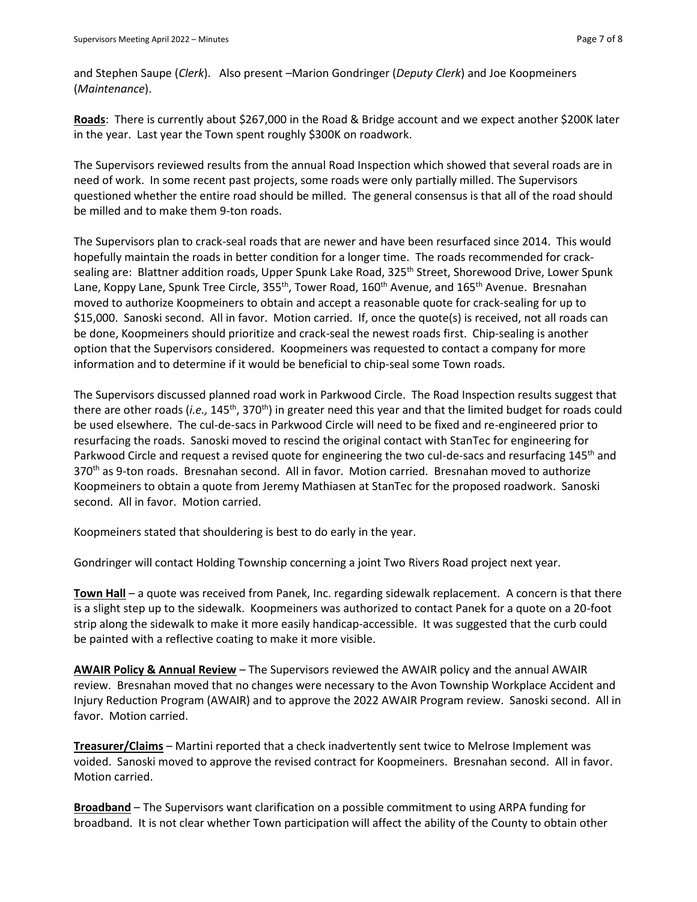and Stephen Saupe (*Clerk*). Also present –Marion Gondringer (*Deputy Clerk*) and Joe Koopmeiners (*Maintenance*).

**Roads**: There is currently about \$267,000 in the Road & Bridge account and we expect another \$200K later in the year. Last year the Town spent roughly \$300K on roadwork.

The Supervisors reviewed results from the annual Road Inspection which showed that several roads are in need of work. In some recent past projects, some roads were only partially milled. The Supervisors questioned whether the entire road should be milled. The general consensus is that all of the road should be milled and to make them 9-ton roads.

The Supervisors plan to crack-seal roads that are newer and have been resurfaced since 2014. This would hopefully maintain the roads in better condition for a longer time. The roads recommended for cracksealing are: Blattner addition roads, Upper Spunk Lake Road, 325<sup>th</sup> Street, Shorewood Drive, Lower Spunk Lane, Koppy Lane, Spunk Tree Circle, 355<sup>th</sup>, Tower Road, 160<sup>th</sup> Avenue, and 165<sup>th</sup> Avenue. Bresnahan moved to authorize Koopmeiners to obtain and accept a reasonable quote for crack-sealing for up to \$15,000. Sanoski second. All in favor. Motion carried. If, once the quote(s) is received, not all roads can be done, Koopmeiners should prioritize and crack-seal the newest roads first. Chip-sealing is another option that the Supervisors considered. Koopmeiners was requested to contact a company for more information and to determine if it would be beneficial to chip-seal some Town roads.

The Supervisors discussed planned road work in Parkwood Circle. The Road Inspection results suggest that there are other roads (*i.e.,* 145th, 370th) in greater need this year and that the limited budget for roads could be used elsewhere. The cul-de-sacs in Parkwood Circle will need to be fixed and re-engineered prior to resurfacing the roads. Sanoski moved to rescind the original contact with StanTec for engineering for Parkwood Circle and request a revised quote for engineering the two cul-de-sacs and resurfacing 145<sup>th</sup> and 370th as 9-ton roads. Bresnahan second. All in favor. Motion carried. Bresnahan moved to authorize Koopmeiners to obtain a quote from Jeremy Mathiasen at StanTec for the proposed roadwork. Sanoski second. All in favor. Motion carried.

Koopmeiners stated that shouldering is best to do early in the year.

Gondringer will contact Holding Township concerning a joint Two Rivers Road project next year.

**Town Hall** – a quote was received from Panek, Inc. regarding sidewalk replacement. A concern is that there is a slight step up to the sidewalk. Koopmeiners was authorized to contact Panek for a quote on a 20-foot strip along the sidewalk to make it more easily handicap-accessible. It was suggested that the curb could be painted with a reflective coating to make it more visible.

**AWAIR Policy & Annual Review** – The Supervisors reviewed the AWAIR policy and the annual AWAIR review. Bresnahan moved that no changes were necessary to the Avon Township Workplace Accident and Injury Reduction Program (AWAIR) and to approve the 2022 AWAIR Program review. Sanoski second. All in favor. Motion carried.

**Treasurer/Claims** – Martini reported that a check inadvertently sent twice to Melrose Implement was voided. Sanoski moved to approve the revised contract for Koopmeiners. Bresnahan second. All in favor. Motion carried.

**Broadband** – The Supervisors want clarification on a possible commitment to using ARPA funding for broadband. It is not clear whether Town participation will affect the ability of the County to obtain other